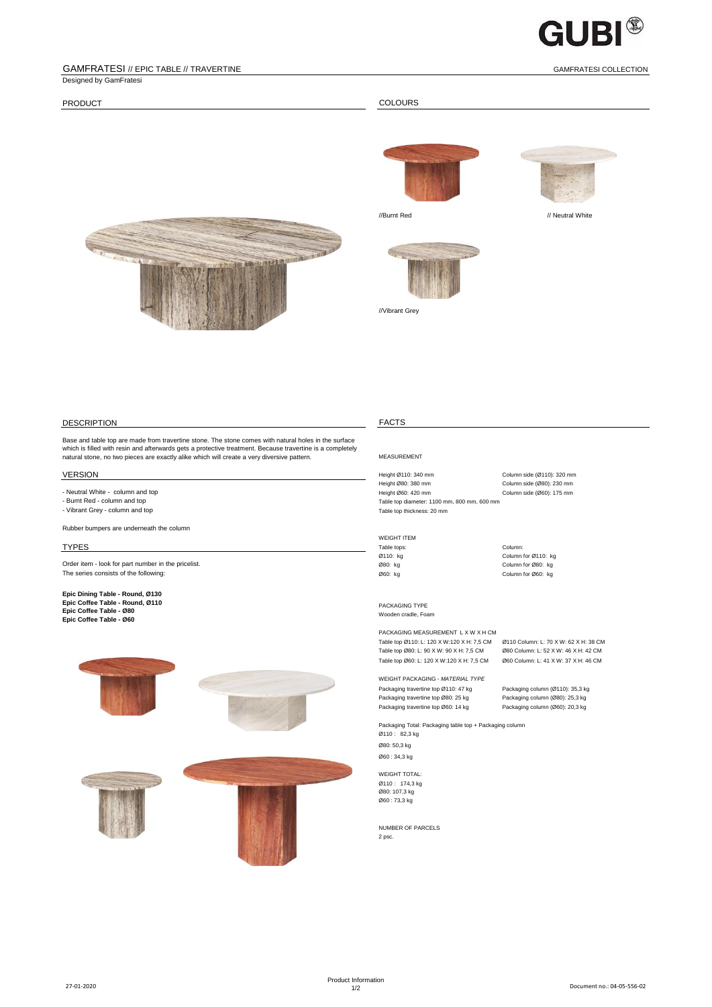

### GAMFRATESI // EPIC TABLE // TRAVERTINE GAMFRATESI COLLECTION Designed by GamFratesi

PRODUCT COLOURS



//Vibrant Grey





## DESCRIPTION FACTS

Base and table top are made from travertine stone. The stone comes with natural holes in the surface which is filled with resin and afterwards gets a protective treatment. Because travertine is a completely natural stone, no two pieces are exactly alike which will create a very diversive pattern. MEASUREMENT

- 
- Vibrant Grey column and top

Rubber bumpers are underneath the column

Order item - look for part number in the pricelist.<br>
The series consists of the following: 
Column for Ø80: kg Column for Ø80: kg Column for Ø80: kg Column for Ø80: kg Column for Ø80: kg The series consists of the following:

**Epic Dining Table - Round, Ø130 Epic Coffee Table - Round, Ø110 Epic Coffee Table - Ø80 Epic Coffee Table - Ø60**



VERSION **EXERSION** Height Ø110: 340 mm Column side (Ø110): 320 mm Column side (Ø110): 320 mm Height Ø80: 380 mm Column side (Ø80): 230 mm Height Ø80: 380 mm Column side (Ø80): 230 mm - Neutral White - column and top والمستحدث المستحدث المستحدث المستحدث المستحدث المستحدث المستحدث المستحدث المستحدث المستحدث المستحدث المستحدث المستحدث المستحدث المستحدث المستحدث المستحدث المستحدث المستحدث المستحدث المستحد Table top diameter: 1100 mm, 800 mm, 600 mm<br>Table top thickness: 20 mm

# WEIGHT ITEM<br>Table tops:

TYPES **Table tops:** Table tops: Table tops: Table tops: Table tops: Column: Ø110: kg Column for Ø110: kg

> PACKAGING TYPE Wooden cradle, Foam

PACKAGING MEASUREMENT L X W X H CM Table top Ø110: L: 120 X W:120 X H: 7,5 CM Ø110 Column: L: 70 X W: 62 X H: 38 CM<br>Table top Ø80: L: 90 X W: 90 X H: 7,5 CM Ø80 Column: L: 52 X W: 46 X H: 42 CM Table top Ø80: L: 90 X W: 90 X H: 7,5 CM Table top Ø60: L: 120 X W:120 X H: 7,5 CM Ø60 Column: L: 41 X W: 37 X H: 46 CM

WEIGHT PACKAGING - *MATERIAL TYPE* Packaging travertine top Ø110: 47 kg<br>
Packaging travertine top Ø80: 25 kg<br>
Packaging column (Ø80): 25,3 kg Packaging travertine top Ø80: 25 kg Packaging travertine top Ø60: 14 kg Packaging column (Ø60): 20,3 kg

Packaging Total: Packaging table top + Packaging column Ø110 : 82,3 kg Ø80: 50,3 kg Ø60 : 34,3 kg

WEIGHT TOTAL: Ø110 : 174,3 kg Ø80: 107,3 kg Ø60 : 73,3 kg

NUMBER OF PARCELS 2 psc.